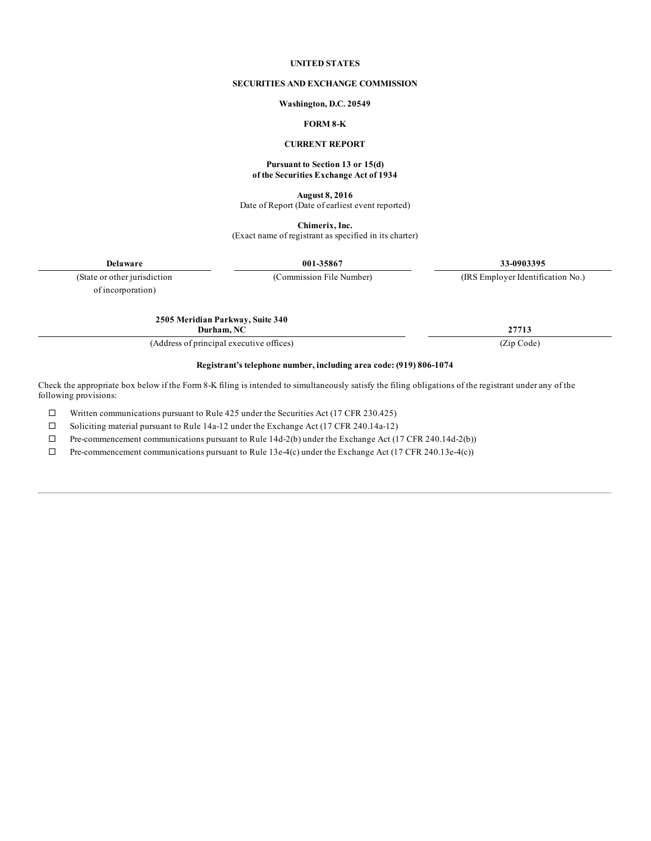#### **UNITED STATES**

#### **SECURITIES AND EXCHANGE COMMISSION**

#### **Washington, D.C. 20549**

# **FORM 8-K**

#### **CURRENT REPORT**

#### **Pursuant to Section 13 or 15(d) of the Securities Exchange Act of 1934**

**August 8, 2016** Date of Report (Date of earliest event reported)

**Chimerix, Inc.**

(Exact name of registrant as specified in its charter)

**Delaware 001-35867 33-0903395**

(State or other jurisdiction (Commission File Number) (IRS Employer Identification No.)

of incorporation)

**2505 Meridian Parkway, Suite 340 Durham, NC 27713**

(Address of principal executive offices) (Zip Code)

### **Registrant's telephone number, including area code: (919) 806-1074**

Check the appropriate box below if the Form 8-K filing is intended to simultaneously satisfy the filing obligations of the registrant under any of the following provisions:

 $\Box$  Written communications pursuant to Rule 425 under the Securities Act (17 CFR 230.425)

 $\square$  Soliciting material pursuant to Rule 14a-12 under the Exchange Act (17 CFR 240.14a-12)

 $\Box$  Pre-commencement communications pursuant to Rule 14d-2(b) under the Exchange Act (17 CFR 240.14d-2(b))

 $\Box$  Pre-commencement communications pursuant to Rule 13e-4(c) under the Exchange Act (17 CFR 240.13e-4(c))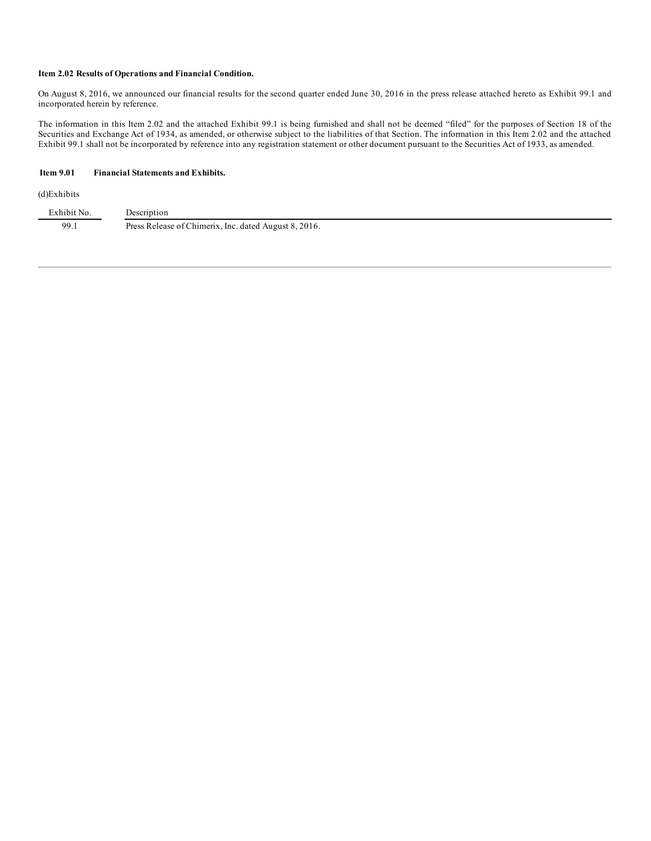### **Item 2.02 Results of Operations and Financial Condition.**

On August 8, 2016, we announced our financial results for the second quarter ended June 30, 2016 in the press release attached hereto as Exhibit 99.1 and incorporated herein by reference.

The information in this Item 2.02 and the attached Exhibit 99.1 is being furnished and shall not be deemed "filed" for the purposes of Section 18 of the Securities and Exchange Act of 1934, as amended, or otherwise subject to the liabilities of that Section. The information in this Item 2.02 and the attached Exhibit 99.1 shall not be incorporated by reference into any registration statement or other document pursuant to the Securities Act of 1933, as amended.

### **Item 9.01 Financial Statements and Exhibits.**

#### (d)Exhibits

| Exhibit No. | Description                                           |
|-------------|-------------------------------------------------------|
| 99.1        | Press Release of Chimerix, Inc. dated August 8, 2016. |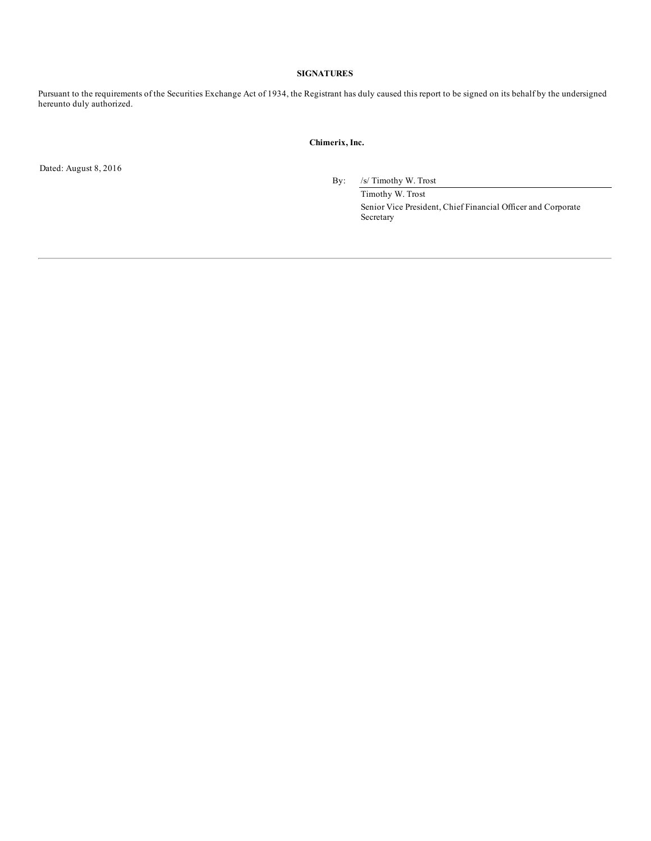### **SIGNATURES**

Pursuant to the requirements of the Securities Exchange Act of 1934, the Registrant has duly caused this report to be signed on its behalf by the undersigned hereunto duly authorized.

#### **Chimerix, Inc.**

Dated: August 8, 2016

By: /s/ Timothy W. Trost

Timothy W. Trost Senior Vice President, Chief Financial Officer and Corporate Secretary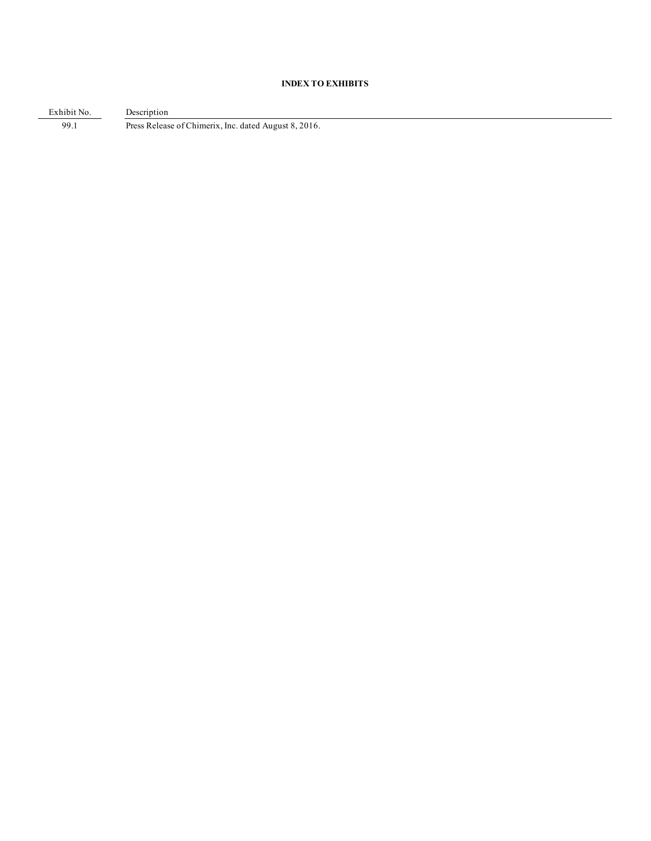# **INDEX TO EXHIBITS**

Exhibit No. Description 99.1 Press Release of Chimerix, Inc. dated August 8, 2016.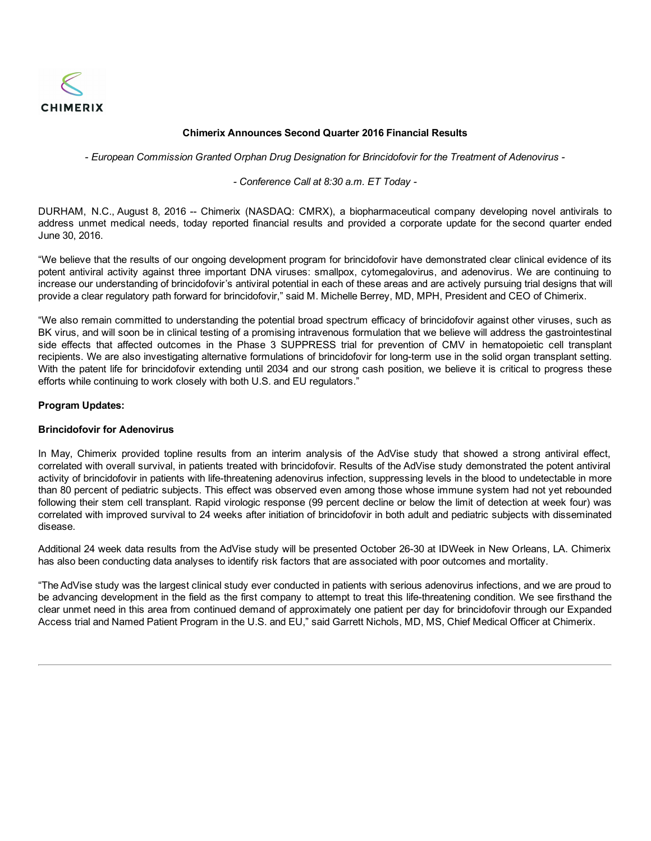

# **Chimerix Announces Second Quarter 2016 Financial Results**

- *European Commission Granted Orphan Drug Designation for Brincidofovir for the Treatment of Adenovirus -*

*- Conference Call at 8:30 a.m. ET Today -*

DURHAM, N.C., August 8, 2016 -- Chimerix (NASDAQ: CMRX), a biopharmaceutical company developing novel antivirals to address unmet medical needs, today reported financial results and provided a corporate update for the second quarter ended June 30, 2016.

"We believe that the results of our ongoing development program for brincidofovir have demonstrated clear clinical evidence of its potent antiviral activity against three important DNA viruses: smallpox, cytomegalovirus, and adenovirus. We are continuing to increase our understanding of brincidofovir's antiviral potential in each of these areas and are actively pursuing trial designs that will provide a clear regulatory path forward for brincidofovir," said M. Michelle Berrey, MD, MPH, President and CEO of Chimerix.

"We also remain committed to understanding the potential broad spectrum efficacy of brincidofovir against other viruses, such as BK virus, and will soon be in clinical testing of a promising intravenous formulation that we believe will address the gastrointestinal side effects that affected outcomes in the Phase 3 SUPPRESS trial for prevention of CMV in hematopoietic cell transplant recipients. We are also investigating alternative formulations of brincidofovir for long-term use in the solid organ transplant setting. With the patent life for brincidofovir extending until 2034 and our strong cash position, we believe it is critical to progress these efforts while continuing to work closely with both U.S. and EU regulators."

# **Program Updates:**

## **Brincidofovir for Adenovirus**

In May, Chimerix provided topline results from an interim analysis of the AdVise study that showed a strong antiviral effect, correlated with overall survival, in patients treated with brincidofovir. Results of the AdVise study demonstrated the potent antiviral activity of brincidofovir in patients with life-threatening adenovirus infection, suppressing levels in the blood to undetectable in more than 80 percent of pediatric subjects. This effect was observed even among those whose immune system had not yet rebounded following their stem cell transplant. Rapid virologic response (99 percent decline or below the limit of detection at week four) was correlated with improved survival to 24 weeks after initiation of brincidofovir in both adult and pediatric subjects with disseminated disease.

Additional 24 week data results from the AdVise study will be presented October 26-30 at IDWeek in New Orleans, LA. Chimerix has also been conducting data analyses to identify risk factors that are associated with poor outcomes and mortality.

"The AdVise study was the largest clinical study ever conducted in patients with serious adenovirus infections, and we are proud to be advancing development in the field as the first company to attempt to treat this life-threatening condition. We see firsthand the clear unmet need in this area from continued demand of approximately one patient per day for brincidofovir through our Expanded Access trial and Named Patient Program in the U.S. and EU," said Garrett Nichols, MD, MS, Chief Medical Officer at Chimerix.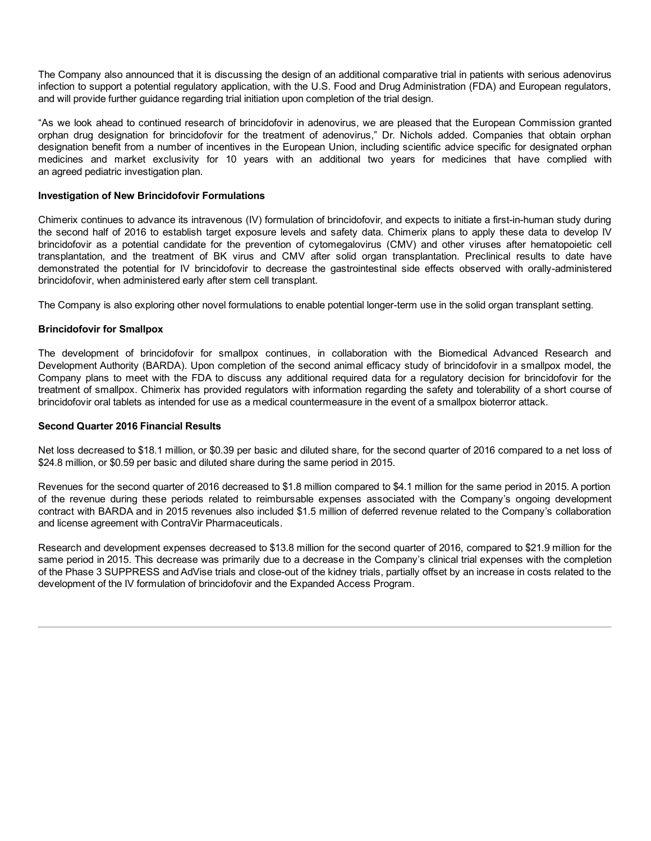The Company also announced that it is discussing the design of an additional comparative trial in patients with serious adenovirus infection to support a potential regulatory application, with the U.S. Food and Drug Administration (FDA) and European regulators, and will provide further guidance regarding trial initiation upon completion of the trial design.

"As we look ahead to continued research of brincidofovir in adenovirus, we are pleased that the European Commission granted orphan drug designation for brincidofovir for the treatment of adenovirus," Dr. Nichols added. Companies that obtain orphan designation benefit from a number of incentives in the European Union, including scientific advice specific for designated orphan medicines and market exclusivity for 10 years with an additional two years for medicines that have complied with an agreed pediatric investigation plan.

# **Investigation of New Brincidofovir Formulations**

Chimerix continues to advance its intravenous (IV) formulation of brincidofovir, and expects to initiate a first-in-human study during the second half of 2016 to establish target exposure levels and safety data. Chimerix plans to apply these data to develop IV brincidofovir as a potential candidate for the prevention of cytomegalovirus (CMV) and other viruses after hematopoietic cell transplantation, and the treatment of BK virus and CMV after solid organ transplantation. Preclinical results to date have demonstrated the potential for IV brincidofovir to decrease the gastrointestinal side effects observed with orally-administered brincidofovir, when administered early after stem cell transplant.

The Company is also exploring other novel formulations to enable potential longer-term use in the solid organ transplant setting.

# **Brincidofovir for Smallpox**

The development of brincidofovir for smallpox continues, in collaboration with the Biomedical Advanced Research and Development Authority (BARDA). Upon completion of the second animal efficacy study of brincidofovir in a smallpox model, the Company plans to meet with the FDA to discuss any additional required data for a regulatory decision for brincidofovir for the treatment of smallpox. Chimerix has provided regulators with information regarding the safety and tolerability of a short course of brincidofovir oral tablets as intended for use as a medical countermeasure in the event of a smallpox bioterror attack.

## **Second Quarter 2016 Financial Results**

Net loss decreased to \$18.1 million, or \$0.39 per basic and diluted share, for the second quarter of 2016 compared to a net loss of \$24.8 million, or \$0.59 per basic and diluted share during the same period in 2015.

Revenues for the second quarter of 2016 decreased to \$1.8 million compared to \$4.1 million for the same period in 2015. A portion of the revenue during these periods related to reimbursable expenses associated with the Company's ongoing development contract with BARDA and in 2015 revenues also included \$1.5 million of deferred revenue related to the Company's collaboration and license agreement with ContraVir Pharmaceuticals.

Research and development expenses decreased to \$13.8 million for the second quarter of 2016, compared to \$21.9 million for the same period in 2015. This decrease was primarily due to a decrease in the Company's clinical trial expenses with the completion of the Phase 3 SUPPRESS and AdVise trials and close-out of the kidney trials, partially offset by an increase in costs related to the development of the IV formulation of brincidofovir and the Expanded Access Program.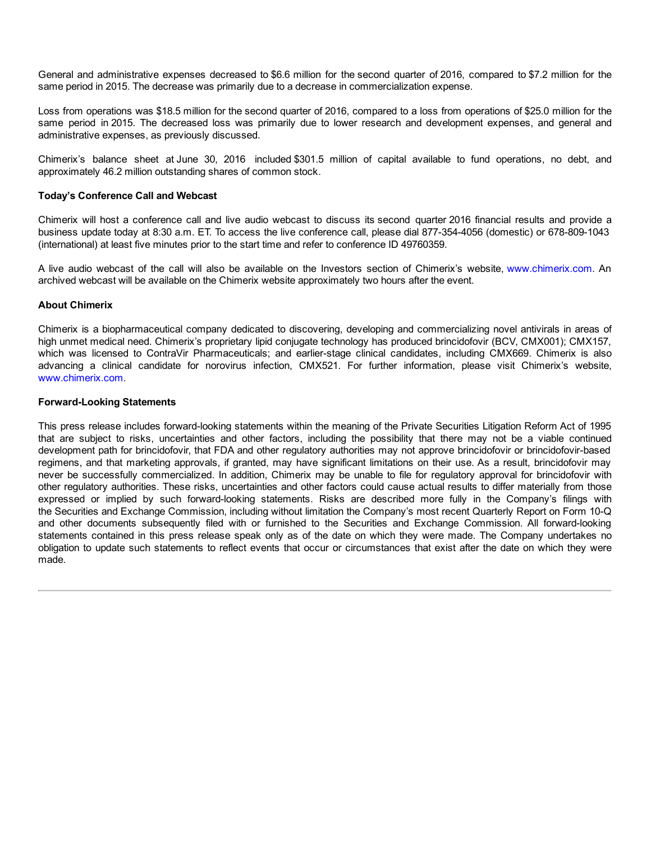General and administrative expenses decreased to \$6.6 million for the second quarter of 2016, compared to \$7.2 million for the same period in 2015. The decrease was primarily due to a decrease in commercialization expense.

Loss from operations was \$18.5 million for the second quarter of 2016, compared to a loss from operations of \$25.0 million for the same period in 2015. The decreased loss was primarily due to lower research and development expenses, and general and administrative expenses, as previously discussed.

Chimerix's balance sheet at June 30, 2016 included \$301.5 million of capital available to fund operations, no debt, and approximately 46.2 million outstanding shares of common stock.

# **Today's Conference Call and Webcast**

Chimerix will host a conference call and live audio webcast to discuss its second quarter 2016 financial results and provide a business update today at 8:30 a.m. ET. To access the live conference call, please dial 877-354-4056 (domestic) or 678-809-1043 (international) at least five minutes prior to the start time and refer to conference ID 49760359.

A live audio webcast of the call will also be available on the Investors section of Chimerix's website, www.chimerix.com. An archived webcast will be available on the Chimerix website approximately two hours after the event.

## **About Chimerix**

Chimerix is a biopharmaceutical company dedicated to discovering, developing and commercializing novel antivirals in areas of high unmet medical need. Chimerix's proprietary lipid conjugate technology has produced brincidofovir (BCV, CMX001); CMX157, which was licensed to ContraVir Pharmaceuticals; and earlier-stage clinical candidates, including CMX669. Chimerix is also advancing a clinical candidate for norovirus infection, CMX521. For further information, please visit Chimerix's website, www.chimerix.com.

## **Forward-Looking Statements**

This press release includes forward-looking statements within the meaning of the Private Securities Litigation Reform Act of 1995 that are subject to risks, uncertainties and other factors, including the possibility that there may not be a viable continued development path for brincidofovir, that FDA and other regulatory authorities may not approve brincidofovir or brincidofovir-based regimens, and that marketing approvals, if granted, may have significant limitations on their use. As a result, brincidofovir may never be successfully commercialized. In addition, Chimerix may be unable to file for regulatory approval for brincidofovir with other regulatory authorities. These risks, uncertainties and other factors could cause actual results to differ materially from those expressed or implied by such forward-looking statements. Risks are described more fully in the Company's filings with the Securities and Exchange Commission, including without limitation the Company's most recent Quarterly Report on Form 10-Q and other documents subsequently filed with or furnished to the Securities and Exchange Commission. All forward-looking statements contained in this press release speak only as of the date on which they were made. The Company undertakes no obligation to update such statements to reflect events that occur or circumstances that exist after the date on which they were made.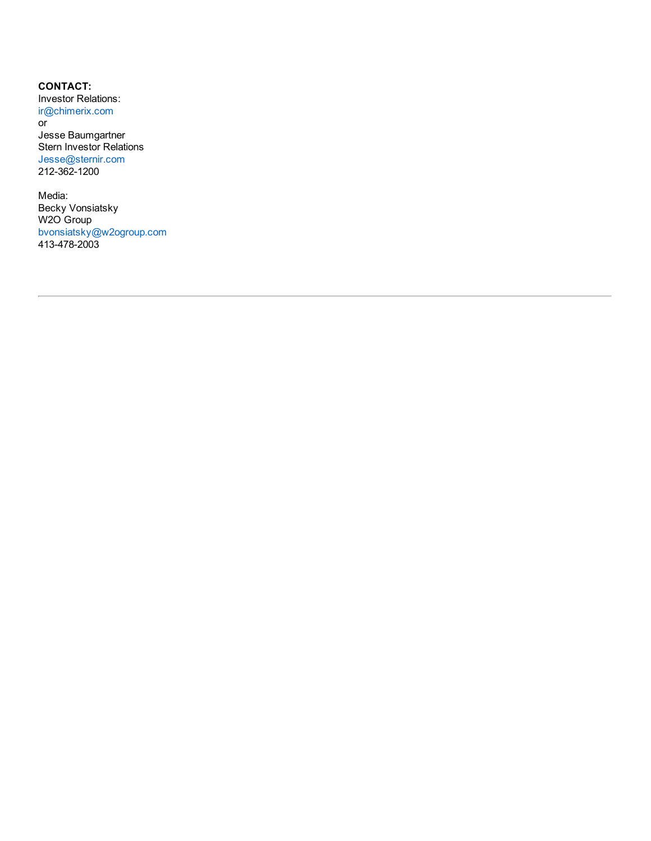**CONTACT:** Investor Relations: ir@chimerix.com

or Jesse Baumgartner Stern Investor Relations Jesse@sternir.com 212-362-1200

Media: Becky Vonsiatsky W2O Group bvonsiatsky@w2ogroup.com 413-478-2003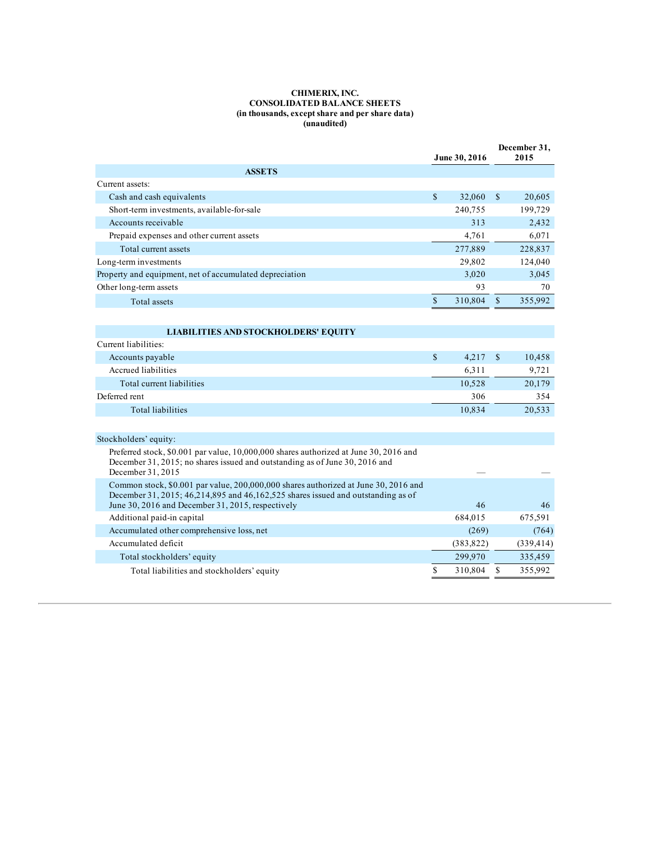#### **CHIMERIX, INC. CONSOLIDATED BALANCE SHEETS (in thousands, except share and per share data) (unaudited)**

|                                                                                                                                           |              | June 30, 2016 | December 31,<br>2015 |            |
|-------------------------------------------------------------------------------------------------------------------------------------------|--------------|---------------|----------------------|------------|
| <b>ASSETS</b>                                                                                                                             |              |               |                      |            |
| Current assets:                                                                                                                           |              |               |                      |            |
| Cash and cash equivalents                                                                                                                 | $\mathbb{S}$ | 32,060        | $\mathbb{S}$         | 20,605     |
| Short-term investments, available-for-sale                                                                                                |              | 240,755       |                      | 199,729    |
| Accounts receivable                                                                                                                       |              | 313           |                      | 2,432      |
| Prepaid expenses and other current assets                                                                                                 |              | 4.761         |                      | 6,071      |
| Total current assets                                                                                                                      |              | 277,889       |                      | 228,837    |
| Long-term investments                                                                                                                     |              | 29,802        |                      | 124,040    |
| Property and equipment, net of accumulated depreciation                                                                                   |              | 3,020         |                      | 3,045      |
| Other long-term assets                                                                                                                    |              | 93            |                      | 70         |
| <b>Total assets</b>                                                                                                                       | $\mathbf S$  | 310,804       | $\mathbb{S}$         | 355,992    |
|                                                                                                                                           |              |               |                      |            |
| <b>LIABILITIES AND STOCKHOLDERS' EQUITY</b>                                                                                               |              |               |                      |            |
| Current liabilities:                                                                                                                      |              |               |                      |            |
| Accounts payable                                                                                                                          | \$           | 4,217         | <sup>\$</sup>        | 10,458     |
| Accrued liabilities                                                                                                                       |              | 6,311         |                      | 9,721      |
| Total current liabilities                                                                                                                 |              | 10,528        |                      | 20,179     |
| Deferred rent                                                                                                                             |              | 306           |                      | 354        |
| <b>Total liabilities</b>                                                                                                                  |              | 10,834        |                      | 20,533     |
|                                                                                                                                           |              |               |                      |            |
| Stockholders' equity:                                                                                                                     |              |               |                      |            |
| Preferred stock, \$0.001 par value, 10,000,000 shares authorized at June 30, 2016 and                                                     |              |               |                      |            |
| December 31, 2015; no shares issued and outstanding as of June 30, 2016 and                                                               |              |               |                      |            |
| December 31, 2015                                                                                                                         |              |               |                      |            |
| Common stock, \$0.001 par value, 200,000,000 shares authorized at June 30, 2016 and                                                       |              |               |                      |            |
| December 31, 2015; 46, 214, 895 and 46, 162, 525 shares issued and outstanding as of<br>June 30, 2016 and December 31, 2015, respectively |              | 46            |                      | 46         |
| Additional paid-in capital                                                                                                                |              | 684,015       |                      | 675,591    |
| Accumulated other comprehensive loss, net                                                                                                 |              | (269)         |                      | (764)      |
| Accumulated deficit                                                                                                                       |              | (383, 822)    |                      | (339, 414) |
| Total stockholders' equity                                                                                                                |              | 299,970       |                      | 335,459    |
| Total liabilities and stockholders' equity                                                                                                | \$           | 310,804       | S                    | 355,992    |
|                                                                                                                                           |              |               |                      |            |